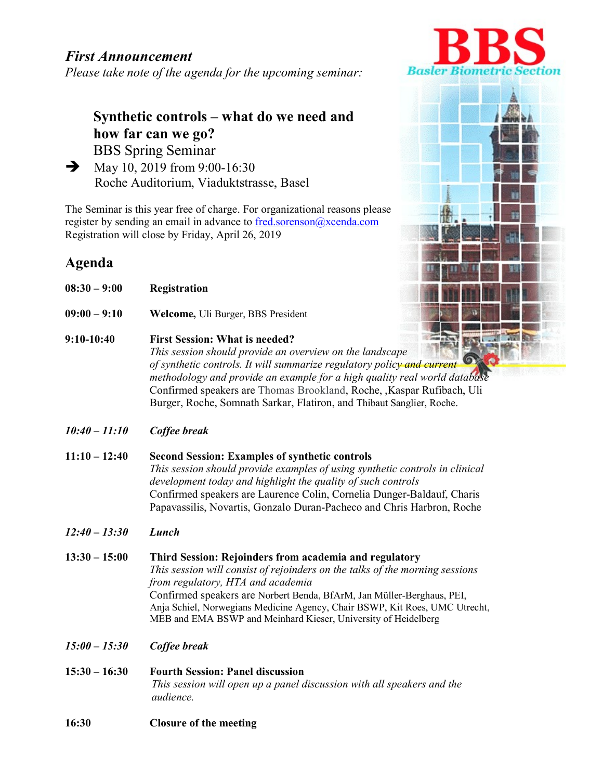## First Announcement

Please take note of the agenda for the upcoming seminar:

# Synthetic controls – what do we need and how far can we go? BBS Spring Seminar

 $\rightarrow$  May 10, 2019 from 9:00-16:30 Roche Auditorium, Viaduktstrasse, Basel

The Seminar is this year free of charge. For organizational reasons please register by sending an email in advance to fred.sorenson@xcenda.com Registration will close by Friday, April 26, 2019

# Agenda

- 08:30 9:00 Registration
- 09:00 9:10 Welcome, Uli Burger, BBS President
- 9:10-10:40 First Session: What is needed? This session should provide an overview on the landscape of synthetic controls. It will summarize regulatory policy and current methodology and provide an example for a high quality real world database Confirmed speakers are Thomas Brookland, Roche, ,Kaspar Rufibach, Uli Burger, Roche, Somnath Sarkar, Flatiron, and Thibaut Sanglier, Roche.
- 10:40 11:10 Coffee break
- 11:10 12:40 Second Session: Examples of synthetic controls This session should provide examples of using synthetic controls in clinical development today and highlight the quality of such controls Confirmed speakers are Laurence Colin, Cornelia Dunger-Baldauf, Charis Papavassilis, Novartis, Gonzalo Duran-Pacheco and Chris Harbron, Roche
- 12:40 13:30 Lunch
- 13:30 15:00 Third Session: Rejoinders from academia and regulatory This session will consist of rejoinders on the talks of the morning sessions from regulatory, HTA and academia Confirmed speakers are Norbert Benda, BfArM, Jan Müller-Berghaus, PEI, Anja Schiel, Norwegians Medicine Agency, Chair BSWP, Kit Roes, UMC Utrecht, MEB and EMA BSWP and Meinhard Kieser, University of Heidelberg
- 15:00 15:30 Coffee break
- 15:30 16:30 Fourth Session: Panel discussion This session will open up a panel discussion with all speakers and the audience.
- 16:30 Closure of the meeting